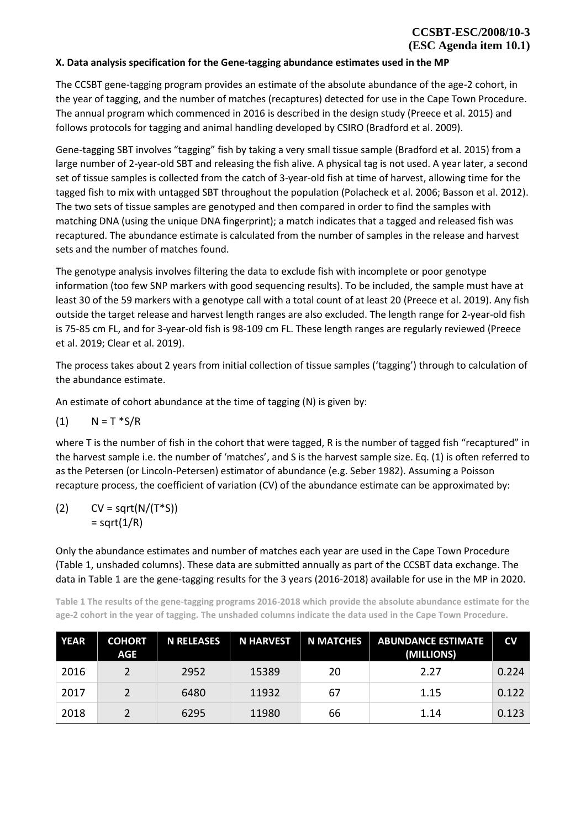## **X. Data analysis specification for the Gene-tagging abundance estimates used in the MP**

The CCSBT gene-tagging program provides an estimate of the absolute abundance of the age-2 cohort, in the year of tagging, and the number of matches (recaptures) detected for use in the Cape Town Procedure. The annual program which commenced in 2016 is described in the design study (Preece et al. 2015) and follows protocols for tagging and animal handling developed by CSIRO (Bradford et al. 2009).

Gene-tagging SBT involves "tagging" fish by taking a very small tissue sample (Bradford et al. 2015) from a large number of 2-year-old SBT and releasing the fish alive. A physical tag is not used. A year later, a second set of tissue samples is collected from the catch of 3-year-old fish at time of harvest, allowing time for the tagged fish to mix with untagged SBT throughout the population (Polacheck et al. 2006; Basson et al. 2012). The two sets of tissue samples are genotyped and then compared in order to find the samples with matching DNA (using the unique DNA fingerprint); a match indicates that a tagged and released fish was recaptured. The abundance estimate is calculated from the number of samples in the release and harvest sets and the number of matches found.

The genotype analysis involves filtering the data to exclude fish with incomplete or poor genotype information (too few SNP markers with good sequencing results). To be included, the sample must have at least 30 of the 59 markers with a genotype call with a total count of at least 20 (Preece et al. 2019). Any fish outside the target release and harvest length ranges are also excluded. The length range for 2-year-old fish is 75-85 cm FL, and for 3-year-old fish is 98-109 cm FL. These length ranges are regularly reviewed (Preece et al. 2019; Clear et al. 2019).

The process takes about 2 years from initial collection of tissue samples ('tagging') through to calculation of the abundance estimate.

An estimate of cohort abundance at the time of tagging (N) is given by:

$$
(1) \qquad N = T * S/R
$$

where T is the number of fish in the cohort that were tagged, R is the number of tagged fish "recaptured" in the harvest sample i.e. the number of 'matches', and S is the harvest sample size. Eq. (1) is often referred to as the Petersen (or Lincoln-Petersen) estimator of abundance (e.g. Seber 1982). Assuming a Poisson recapture process, the coefficient of variation (CV) of the abundance estimate can be approximated by:

(2)  $CV = sqrt(N/(T*S))$  $=$  sqrt $(1/R)$ 

Only the abundance estimates and number of matches each year are used in the Cape Town Procedure [\(Table 1,](#page-0-0) unshaded columns). These data are submitted annually as part of the CCSBT data exchange. The data in [Table 1](#page-0-0) are the gene-tagging results for the 3 years (2016-2018) available for use in the MP in 2020.

<span id="page-0-0"></span>**Table 1 The results of the gene-tagging programs 2016-2018 which provide the absolute abundance estimate for the age-2 cohort in the year of tagging. The unshaded columns indicate the data used in the Cape Town Procedure.**

| <b>YEAR</b> | <b>COHORT</b><br>AGE | <b>N RELEASES</b> | <b>N HARVEST</b> | <b>N MATCHES</b> | <b>ABUNDANCE ESTIMATE</b><br>(MILLIONS) | $\mathsf{cv}$ |
|-------------|----------------------|-------------------|------------------|------------------|-----------------------------------------|---------------|
| 2016        |                      | 2952              | 15389            | 20               | 2.27                                    | 0.224         |
| 2017        |                      | 6480              | 11932            | 67               | 1.15                                    | 0.122         |
| 2018        |                      | 6295              | 11980            | 66               | 1.14                                    | 0.123         |